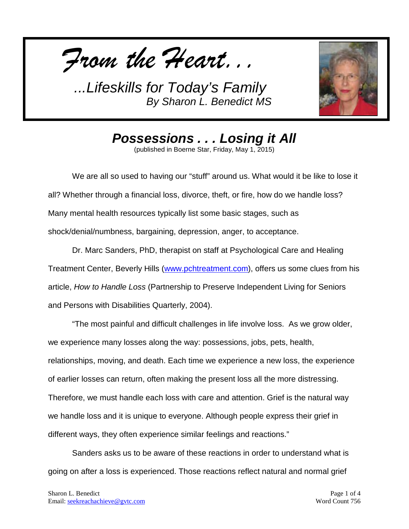



*Possessions . . . Losing it All*

(published in Boerne Star, Friday, May 1, 2015)

We are all so used to having our "stuff" around us. What would it be like to lose it all? Whether through a financial loss, divorce, theft, or fire, how do we handle loss? Many mental health resources typically list some basic stages, such as shock/denial/numbness, bargaining, depression, anger, to acceptance.

Dr. Marc Sanders, PhD, therapist on staff at Psychological Care and Healing Treatment Center, Beverly Hills [\(www.pchtreatment.com\)](http://www.pchtreatment.com/), offers us some clues from his article, *How to Handle Loss* (Partnership to Preserve Independent Living for Seniors and Persons with Disabilities Quarterly, 2004).

"The most painful and difficult challenges in life involve loss. As we grow older, we experience many losses along the way: possessions, jobs, pets, health, relationships, moving, and death. Each time we experience a new loss, the experience of earlier losses can return, often making the present loss all the more distressing. Therefore, we must handle each loss with care and attention. Grief is the natural way we handle loss and it is unique to everyone. Although people express their grief in different ways, they often experience similar feelings and reactions."

Sanders asks us to be aware of these reactions in order to understand what is going on after a loss is experienced. Those reactions reflect natural and normal grief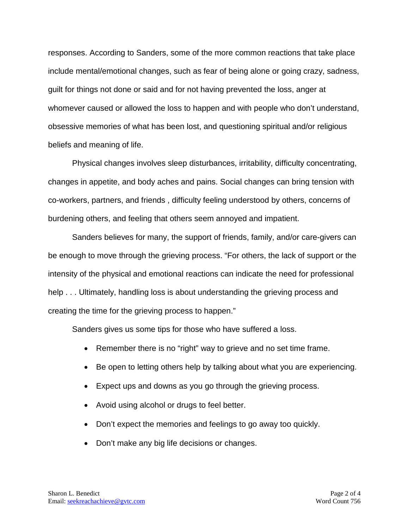responses. According to Sanders, some of the more common reactions that take place include mental/emotional changes, such as fear of being alone or going crazy, sadness, guilt for things not done or said and for not having prevented the loss, anger at whomever caused or allowed the loss to happen and with people who don't understand, obsessive memories of what has been lost, and questioning spiritual and/or religious beliefs and meaning of life.

Physical changes involves sleep disturbances, irritability, difficulty concentrating, changes in appetite, and body aches and pains. Social changes can bring tension with co-workers, partners, and friends , difficulty feeling understood by others, concerns of burdening others, and feeling that others seem annoyed and impatient.

Sanders believes for many, the support of friends, family, and/or care-givers can be enough to move through the grieving process. "For others, the lack of support or the intensity of the physical and emotional reactions can indicate the need for professional help . . . Ultimately, handling loss is about understanding the grieving process and creating the time for the grieving process to happen."

Sanders gives us some tips for those who have suffered a loss.

- Remember there is no "right" way to grieve and no set time frame.
- Be open to letting others help by talking about what you are experiencing.
- Expect ups and downs as you go through the grieving process.
- Avoid using alcohol or drugs to feel better.
- Don't expect the memories and feelings to go away too quickly.
- Don't make any big life decisions or changes.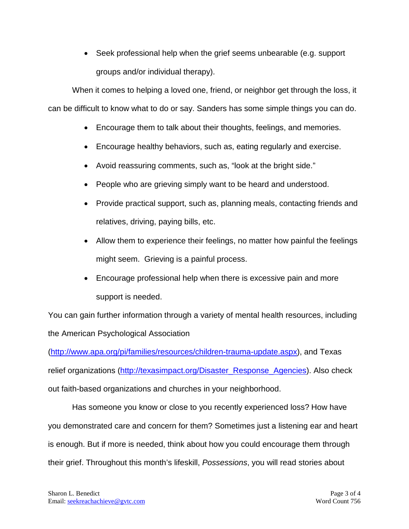• Seek professional help when the grief seems unbearable (e.g. support groups and/or individual therapy).

When it comes to helping a loved one, friend, or neighbor get through the loss, it can be difficult to know what to do or say. Sanders has some simple things you can do.

- Encourage them to talk about their thoughts, feelings, and memories.
- Encourage healthy behaviors, such as, eating regularly and exercise.
- Avoid reassuring comments, such as, "look at the bright side."
- People who are grieving simply want to be heard and understood.
- Provide practical support, such as, planning meals, contacting friends and relatives, driving, paying bills, etc.
- Allow them to experience their feelings, no matter how painful the feelings might seem. Grieving is a painful process.
- Encourage professional help when there is excessive pain and more support is needed.

You can gain further information through a variety of mental health resources, including the American Psychological Association

[\(http://www.apa.org/pi/families/resources/children-trauma-update.aspx\)](http://www.apa.org/pi/families/resources/children-trauma-update.aspx), and Texas relief organizations [\(http://texasimpact.org/Disaster\\_Response\\_Agencies\)](http://texasimpact.org/Disaster_Response_Agencies). Also check out faith-based organizations and churches in your neighborhood.

Has someone you know or close to you recently experienced loss? How have you demonstrated care and concern for them? Sometimes just a listening ear and heart is enough. But if more is needed, think about how you could encourage them through their grief. Throughout this month's lifeskill, *Possessions*, you will read stories about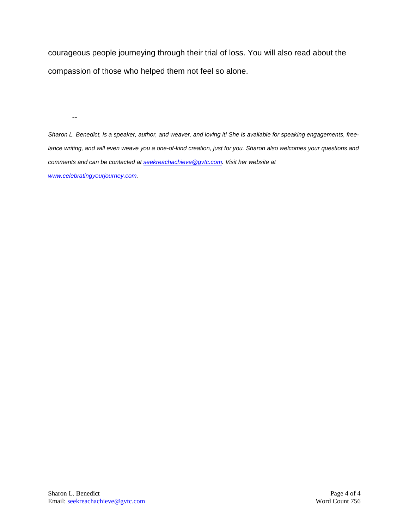courageous people journeying through their trial of loss. You will also read about the compassion of those who helped them not feel so alone.

--

*Sharon L. Benedict, is a speaker, author, and weaver, and loving it! She is available for speaking engagements, freelance writing, and will even weave you a one-of-kind creation, just for you. Sharon also welcomes your questions and comments and can be contacted a[t seekreachachieve@gvtc.com.](mailto:seekreachachieve@gvtc.com) Visit her website at [www.celebratingyourjourney.com.](http://www.celebratingyourjourney.com/)*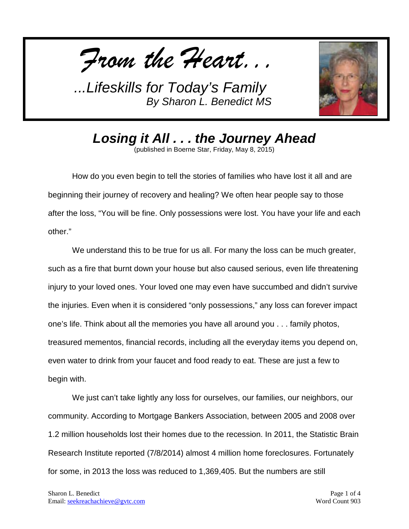*From the Heart...*



*Losing it All . . . the Journey Ahead* (published in Boerne Star, Friday, May 8, 2015)

How do you even begin to tell the stories of families who have lost it all and are beginning their journey of recovery and healing? We often hear people say to those after the loss, "You will be fine. Only possessions were lost. You have your life and each other."

We understand this to be true for us all. For many the loss can be much greater, such as a fire that burnt down your house but also caused serious, even life threatening injury to your loved ones. Your loved one may even have succumbed and didn't survive the injuries. Even when it is considered "only possessions," any loss can forever impact one's life. Think about all the memories you have all around you . . . family photos, treasured mementos, financial records, including all the everyday items you depend on, even water to drink from your faucet and food ready to eat. These are just a few to begin with.

We just can't take lightly any loss for ourselves, our families, our neighbors, our community. According to Mortgage Bankers Association, between 2005 and 2008 over 1.2 million households lost their homes due to the recession. In 2011, the Statistic Brain Research Institute reported (7/8/2014) almost 4 million home foreclosures. Fortunately for some, in 2013 the loss was reduced to 1,369,405. But the numbers are still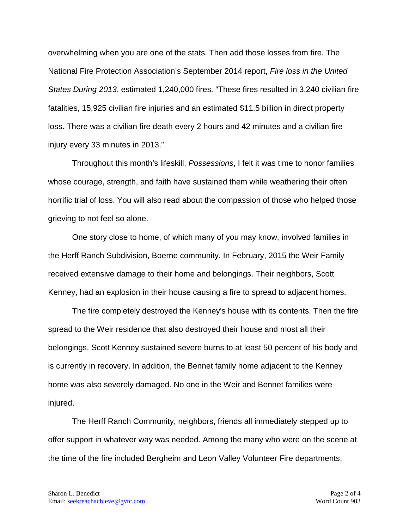overwhelming when you are one of the stats. Then add those losses from fire. The National Fire Protection Association's September 2014 report, *Fire loss in the United States During 2013*, estimated 1,240,000 fires. "These fires resulted in 3,240 civilian fire fatalities, 15,925 civilian fire injuries and an estimated \$11.5 billion in direct property loss. There was a civilian fire death every 2 hours and 42 minutes and a civilian fire injury every 33 minutes in 2013."

Throughout this month's lifeskill, *Possessions*, I felt it was time to honor families whose courage, strength, and faith have sustained them while weathering their often horrific trial of loss. You will also read about the compassion of those who helped those grieving to not feel so alone.

One story close to home, of which many of you may know, involved families in the Herff Ranch Subdivision, Boerne community. In February, 2015 the Weir Family received extensive damage to their home and belongings. Their neighbors, Scott Kenney, had an explosion in their house causing a fire to spread to adjacent homes.

The fire completely destroyed the Kenney's house with its contents. Then the fire spread to the Weir residence that also destroyed their house and most all their belongings. Scott Kenney sustained severe burns to at least 50 percent of his body and is currently in recovery. In addition, the Bennet family home adjacent to the Kenney home was also severely damaged. No one in the Weir and Bennet families were injured.

The Herff Ranch Community, neighbors, friends all immediately stepped up to offer support in whatever way was needed. Among the many who were on the scene at the time of the fire included Bergheim and Leon Valley Volunteer Fire departments,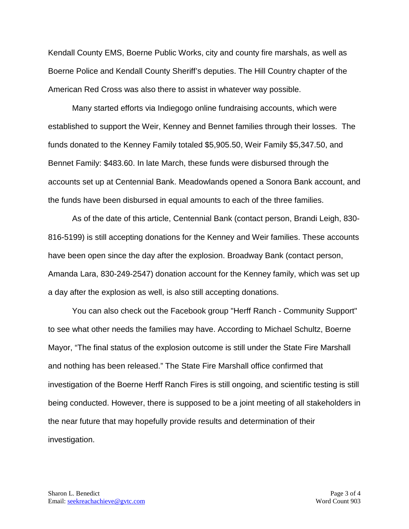Kendall County EMS, Boerne Public Works, city and county fire marshals, as well as Boerne Police and Kendall County Sheriff's deputies. The Hill Country chapter of the American Red Cross was also there to assist in whatever way possible.

Many started efforts via Indiegogo online fundraising accounts, which were established to support the Weir, Kenney and Bennet families through their losses. The funds donated to the Kenney Family totaled \$5,905.50, Weir Family \$5,347.50, and Bennet Family: \$483.60. In late March, these funds were disbursed through the accounts set up at Centennial Bank. Meadowlands opened a Sonora Bank account, and the funds have been disbursed in equal amounts to each of the three families.

As of the date of this article, Centennial Bank (contact person, Brandi Leigh, 830- 816-5199) is still accepting donations for the Kenney and Weir families. These accounts have been open since the day after the explosion. Broadway Bank (contact person, Amanda Lara, 830-249-2547) donation account for the Kenney family, which was set up a day after the explosion as well, is also still accepting donations.

You can also check out the Facebook group "Herff Ranch - Community Support" to see what other needs the families may have. According to Michael Schultz, Boerne Mayor, "The final status of the explosion outcome is still under the State Fire Marshall and nothing has been released." The State Fire Marshall office confirmed that investigation of the Boerne Herff Ranch Fires is still ongoing, and scientific testing is still being conducted. However, there is supposed to be a joint meeting of all stakeholders in the near future that may hopefully provide results and determination of their investigation.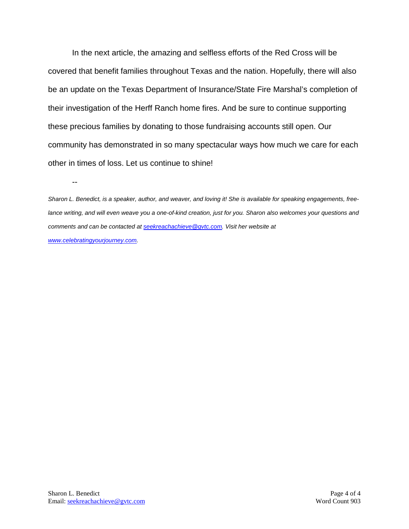In the next article, the amazing and selfless efforts of the Red Cross will be covered that benefit families throughout Texas and the nation. Hopefully, there will also be an update on the Texas Department of Insurance/State Fire Marshal's completion of their investigation of the Herff Ranch home fires. And be sure to continue supporting these precious families by donating to those fundraising accounts still open. Our community has demonstrated in so many spectacular ways how much we care for each other in times of loss. Let us continue to shine!

*Sharon L. Benedict, is a speaker, author, and weaver, and loving it! She is available for speaking engagements, freelance writing, and will even weave you a one-of-kind creation, just for you. Sharon also welcomes your questions and comments and can be contacted a[t seekreachachieve@gvtc.com.](mailto:seekreachachieve@gvtc.com) Visit her website at [www.celebratingyourjourney.com.](http://www.celebratingyourjourney.com/)*

--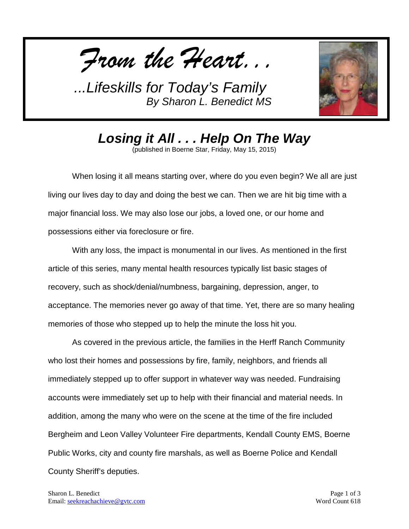*From the Heart...*



*Losing it All . . . Help On The Way* (published in Boerne Star, Friday, May 15, 2015)

When losing it all means starting over, where do you even begin? We all are just living our lives day to day and doing the best we can. Then we are hit big time with a major financial loss. We may also lose our jobs, a loved one, or our home and possessions either via foreclosure or fire.

With any loss, the impact is monumental in our lives. As mentioned in the first article of this series, many mental health resources typically list basic stages of recovery, such as shock/denial/numbness, bargaining, depression, anger, to acceptance. The memories never go away of that time. Yet, there are so many healing memories of those who stepped up to help the minute the loss hit you.

As covered in the previous article, the families in the Herff Ranch Community who lost their homes and possessions by fire, family, neighbors, and friends all immediately stepped up to offer support in whatever way was needed. Fundraising accounts were immediately set up to help with their financial and material needs. In addition, among the many who were on the scene at the time of the fire included Bergheim and Leon Valley Volunteer Fire departments, Kendall County EMS, Boerne Public Works, city and county fire marshals, as well as Boerne Police and Kendall County Sheriff's deputies.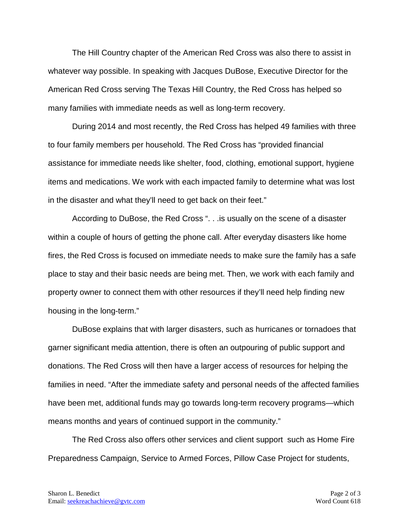The Hill Country chapter of the American Red Cross was also there to assist in whatever way possible. In speaking with Jacques DuBose, Executive Director for the American Red Cross serving The Texas Hill Country, the Red Cross has helped so many families with immediate needs as well as long-term recovery.

During 2014 and most recently, the Red Cross has helped 49 families with three to four family members per household. The Red Cross has "provided financial assistance for immediate needs like shelter, food, clothing, emotional support, hygiene items and medications. We work with each impacted family to determine what was lost in the disaster and what they'll need to get back on their feet."

According to DuBose, the Red Cross ". . .is usually on the scene of a disaster within a couple of hours of getting the phone call. After everyday disasters like home fires, the Red Cross is focused on immediate needs to make sure the family has a safe place to stay and their basic needs are being met. Then, we work with each family and property owner to connect them with other resources if they'll need help finding new housing in the long-term."

DuBose explains that with larger disasters, such as hurricanes or tornadoes that garner significant media attention, there is often an outpouring of public support and donations. The Red Cross will then have a larger access of resources for helping the families in need. "After the immediate safety and personal needs of the affected families have been met, additional funds may go towards long-term recovery programs—which means months and years of continued support in the community."

The Red Cross also offers other services and client support such as Home Fire Preparedness Campaign, Service to Armed Forces, Pillow Case Project for students,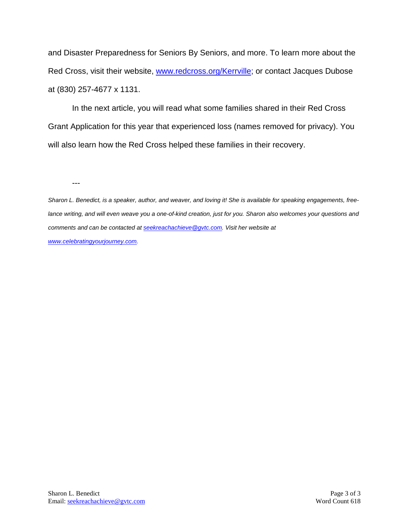and Disaster Preparedness for Seniors By Seniors, and more. To learn more about the Red Cross, visit their website, [www.redcross.org/Kerrville;](http://www.redcross.org/Kerrville) or contact Jacques Dubose at (830) 257-4677 x 1131.

In the next article, you will read what some families shared in their Red Cross Grant Application for this year that experienced loss (names removed for privacy). You will also learn how the Red Cross helped these families in their recovery.

---

*Sharon L. Benedict, is a speaker, author, and weaver, and loving it! She is available for speaking engagements, freelance writing, and will even weave you a one-of-kind creation, just for you. Sharon also welcomes your questions and comments and can be contacted a[t seekreachachieve@gvtc.com.](mailto:seekreachachieve@gvtc.com) Visit her website at [www.celebratingyourjourney.com.](http://www.celebratingyourjourney.com/)*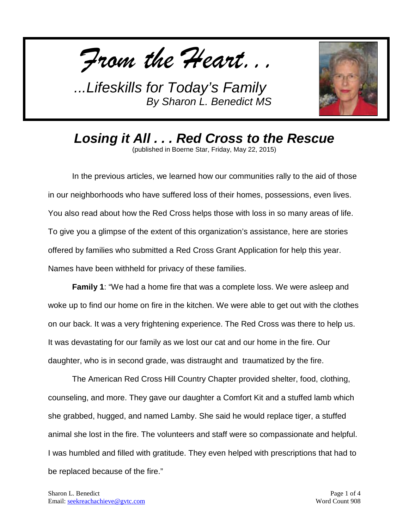*From the Heart...*



*Losing it All . . . Red Cross to the Rescue* (published in Boerne Star, Friday, May 22, 2015)

In the previous articles, we learned how our communities rally to the aid of those in our neighborhoods who have suffered loss of their homes, possessions, even lives. You also read about how the Red Cross helps those with loss in so many areas of life. To give you a glimpse of the extent of this organization's assistance, here are stories offered by families who submitted a Red Cross Grant Application for help this year. Names have been withheld for privacy of these families.

**Family 1**: "We had a home fire that was a complete loss. We were asleep and woke up to find our home on fire in the kitchen. We were able to get out with the clothes on our back. It was a very frightening experience. The Red Cross was there to help us. It was devastating for our family as we lost our cat and our home in the fire. Our daughter, who is in second grade, was distraught and traumatized by the fire.

The American Red Cross Hill Country Chapter provided shelter, food, clothing, counseling, and more. They gave our daughter a Comfort Kit and a stuffed lamb which she grabbed, hugged, and named Lamby. She said he would replace tiger, a stuffed animal she lost in the fire. The volunteers and staff were so compassionate and helpful. I was humbled and filled with gratitude. They even helped with prescriptions that had to be replaced because of the fire."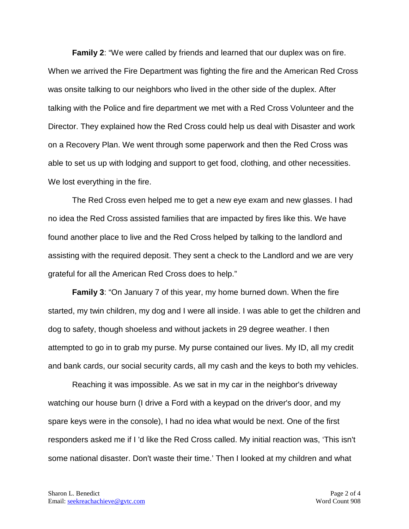**Family 2**: "We were called by friends and learned that our duplex was on fire. When we arrived the Fire Department was fighting the fire and the American Red Cross was onsite talking to our neighbors who lived in the other side of the duplex. After talking with the Police and fire department we met with a Red Cross Volunteer and the Director. They explained how the Red Cross could help us deal with Disaster and work on a Recovery Plan. We went through some paperwork and then the Red Cross was able to set us up with lodging and support to get food, clothing, and other necessities. We lost everything in the fire.

The Red Cross even helped me to get a new eye exam and new glasses. I had no idea the Red Cross assisted families that are impacted by fires like this. We have found another place to live and the Red Cross helped by talking to the landlord and assisting with the required deposit. They sent a check to the Landlord and we are very grateful for all the American Red Cross does to help."

**Family 3**: "On January 7 of this year, my home burned down. When the fire started, my twin children, my dog and I were all inside. I was able to get the children and dog to safety, though shoeless and without jackets in 29 degree weather. I then attempted to go in to grab my purse. My purse contained our lives. My ID, all my credit and bank cards, our social security cards, all my cash and the keys to both my vehicles.

Reaching it was impossible. As we sat in my car in the neighbor's driveway watching our house burn (I drive a Ford with a keypad on the driver's door, and my spare keys were in the console), I had no idea what would be next. One of the first responders asked me if I 'd like the Red Cross called. My initial reaction was, 'This isn't some national disaster. Don't waste their time.' Then I looked at my children and what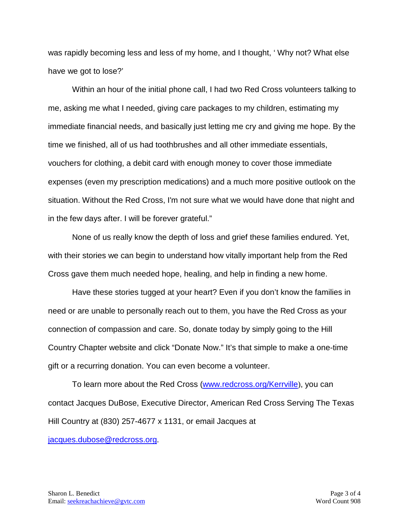was rapidly becoming less and less of my home, and I thought, ' Why not? What else have we got to lose?'

Within an hour of the initial phone call, I had two Red Cross volunteers talking to me, asking me what I needed, giving care packages to my children, estimating my immediate financial needs, and basically just letting me cry and giving me hope. By the time we finished, all of us had toothbrushes and all other immediate essentials, vouchers for clothing, a debit card with enough money to cover those immediate expenses (even my prescription medications) and a much more positive outlook on the situation. Without the Red Cross, I'm not sure what we would have done that night and in the few days after. I will be forever grateful."

None of us really know the depth of loss and grief these families endured. Yet, with their stories we can begin to understand how vitally important help from the Red Cross gave them much needed hope, healing, and help in finding a new home.

Have these stories tugged at your heart? Even if you don't know the families in need or are unable to personally reach out to them, you have the Red Cross as your connection of compassion and care. So, donate today by simply going to the Hill Country Chapter website and click "Donate Now." It's that simple to make a one-time gift or a recurring donation. You can even become a volunteer.

To learn more about the Red Cross [\(www.redcross.org/Kerrville](http://www.redcross.org/Kerrville)), you can contact Jacques DuBose, Executive Director, American Red Cross Serving The Texas Hill Country at (830) 257-4677 x 1131, or email Jacques at

[jacques.dubose@redcross.org](mailto:jacques.dubose@redcross.org).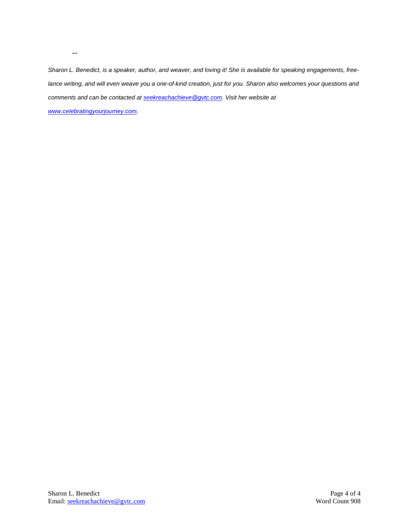*Sharon L. Benedict, is a speaker, author, and weaver, and loving it! She is available for speaking engagements, freelance writing, and will even weave you a one-of-kind creation, just for you. Sharon also welcomes your questions and comments and can be contacted a[t seekreachachieve@gvtc.com.](mailto:seekreachachieve@gvtc.com) Visit her website at* 

*[www.celebratingyourjourney.com.](http://www.celebratingyourjourney.com/)*

--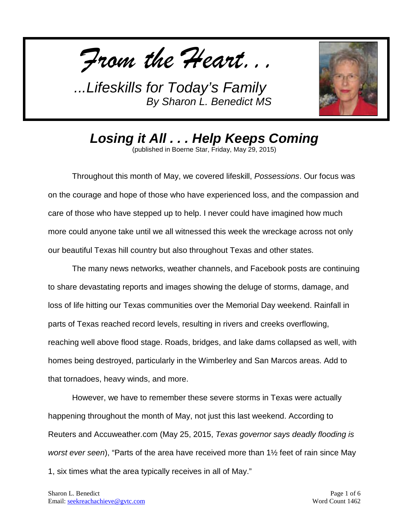*From the Heart...*



*Losing it All . . . Help Keeps Coming*

(published in Boerne Star, Friday, May 29, 2015)

Throughout this month of May, we covered lifeskill, *Possessions*. Our focus was on the courage and hope of those who have experienced loss, and the compassion and care of those who have stepped up to help. I never could have imagined how much more could anyone take until we all witnessed this week the wreckage across not only our beautiful Texas hill country but also throughout Texas and other states.

The many news networks, weather channels, and Facebook posts are continuing to share devastating reports and images showing the deluge of storms, damage, and loss of life hitting our Texas communities over the Memorial Day weekend. Rainfall in parts of Texas reached record levels, resulting in rivers and creeks overflowing, reaching well above flood stage. Roads, bridges, and lake dams collapsed as well, with homes being destroyed, particularly in the Wimberley and San Marcos areas. Add to that tornadoes, heavy winds, and more.

However, we have to remember these severe storms in Texas were actually happening throughout the month of May, not just this last weekend. According to Reuters and Accuweather.com (May 25, 2015, *Texas governor says deadly flooding is worst ever seen*), "Parts of the area have received more than 1½ feet of rain since May 1, six times what the area typically receives in all of May."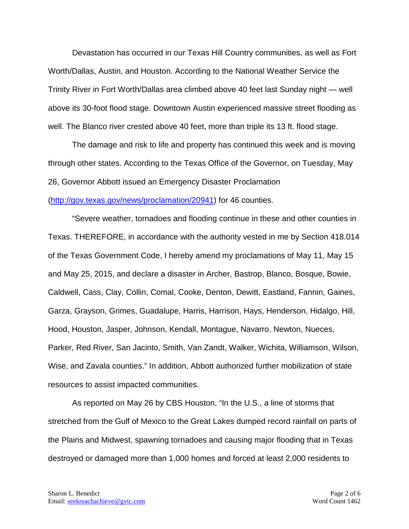Devastation has occurred in our Texas Hill Country communities, as well as Fort Worth/Dallas, Austin, and Houston. According to the National Weather Service the Trinity River in Fort Worth/Dallas area climbed above 40 feet last Sunday night — well above its 30-foot flood stage. Downtown Austin experienced massive street flooding as well. The Blanco river crested above 40 feet, more than triple its 13 ft. flood stage.

The damage and risk to life and property has continued this week and is moving through other states. According to the Texas Office of the Governor, on Tuesday, May 26, Governor Abbott issued an Emergency Disaster Proclamation [\(http://gov.texas.gov/news/proclamation/20941\)](http://gov.texas.gov/news/proclamation/20941) for 46 counties.

"Severe weather, tornadoes and flooding continue in these and other counties in Texas. THEREFORE, in accordance with the authority vested in me by Section 418.014 of the Texas Government Code, I hereby amend my proclamations of May 11, May 15 and May 25, 2015, and declare a disaster in Archer, Bastrop, Blanco, Bosque, Bowie, Caldwell, Cass, Clay, Collin, Comal, Cooke, Denton, Dewitt, Eastland, Fannin, Gaines, Garza, Grayson, Grimes, Guadalupe, Harris, Harrison, Hays, Henderson, Hidalgo, Hill, Hood, Houston, Jasper, Johnson, Kendall, Montague, Navarro, Newton, Nueces, Parker, Red River, San Jacinto, Smith, Van Zandt, Walker, Wichita, Williamson, Wilson, Wise, and Zavala counties." In addition, Abbott authorized further mobilization of state resources to assist impacted communities.

As reported on May 26 by CBS Houston, "In the U.S., a line of storms that stretched from the Gulf of Mexico to the Great Lakes dumped record rainfall on parts of the Plains and Midwest, spawning tornadoes and causing major flooding that in Texas destroyed or damaged more than 1,000 homes and forced at least 2,000 residents to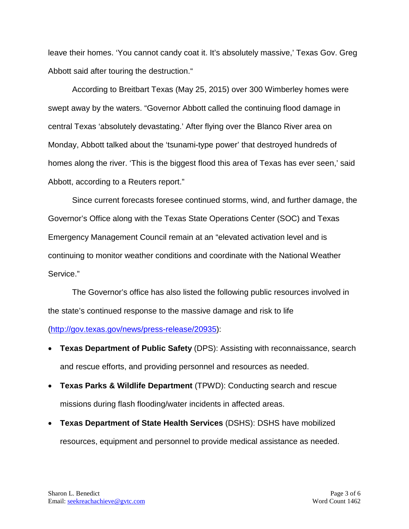leave their homes. 'You cannot candy coat it. It's absolutely massive,' Texas Gov. Greg Abbott said after touring the destruction."

According to Breitbart Texas (May 25, 2015) over 300 Wimberley homes were swept away by the waters. "Governor Abbott called the continuing flood damage in central Texas 'absolutely devastating.' After flying over the Blanco River area on Monday, Abbott talked about the 'tsunami-type power' that destroyed hundreds of homes along the river. 'This is the biggest flood this area of Texas has ever seen,' said Abbott, according to a Reuters report."

Since current forecasts foresee continued storms, wind, and further damage, the Governor's Office along with the Texas State Operations Center (SOC) and Texas Emergency Management Council remain at an "elevated activation level and is continuing to monitor weather conditions and coordinate with the National Weather Service."

The Governor's office has also listed the following public resources involved in the state's continued response to the massive damage and risk to life

[\(http://gov.texas.gov/news/press-release/20935\)](http://gov.texas.gov/news/press-release/20935):

- **Texas Department of Public Safety** (DPS): Assisting with reconnaissance, search and rescue efforts, and providing personnel and resources as needed.
- **Texas Parks & Wildlife Department** (TPWD): Conducting search and rescue missions during flash flooding/water incidents in affected areas.
- **Texas Department of State Health Services** (DSHS): DSHS have mobilized resources, equipment and personnel to provide medical assistance as needed.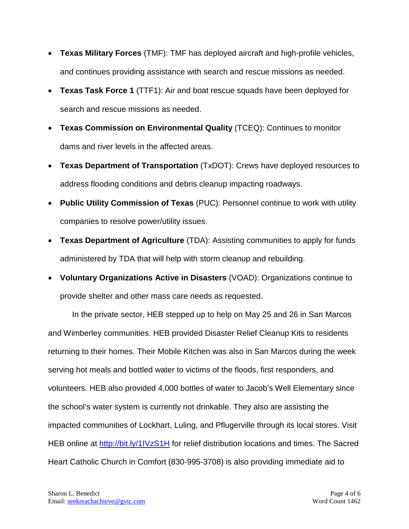- **Texas Military Forces** (TMF): TMF has deployed aircraft and high-profile vehicles, and continues providing assistance with search and rescue missions as needed.
- **Texas Task Force 1** (TTF1): Air and boat rescue squads have been deployed for search and rescue missions as needed.
- **Texas Commission on Environmental Quality** (TCEQ): Continues to monitor dams and river levels in the affected areas.
- **Texas Department of Transportation** (TxDOT): Crews have deployed resources to address flooding conditions and debris cleanup impacting roadways.
- **Public Utility Commission of Texas** (PUC): Personnel continue to work with utility companies to resolve power/utility issues.
- **Texas Department of Agriculture** (TDA): Assisting communities to apply for funds administered by TDA that will help with storm cleanup and rebuilding.
- **Voluntary Organizations Active in Disasters** (VOAD): Organizations continue to provide shelter and other mass care needs as requested.

In the private sector, HEB stepped up to help on May 25 and 26 in San Marcos and Wimberley communities. HEB provided Disaster Relief Cleanup Kits to residents returning to their homes. Their Mobile Kitchen was also in San Marcos during the week serving hot meals and bottled water to victims of the floods, first responders, and volunteers. HEB also provided 4,000 bottles of water to Jacob's Well Elementary since the school's water system is currently not drinkable. They also are assisting the impacted communities of Lockhart, Luling, and Pflugerville through its local stores. Visit HEB online at <http://bit.ly/1IVzS1H> for relief distribution locations and times. The Sacred Heart Catholic Church in Comfort (830-995-3708) is also providing immediate aid to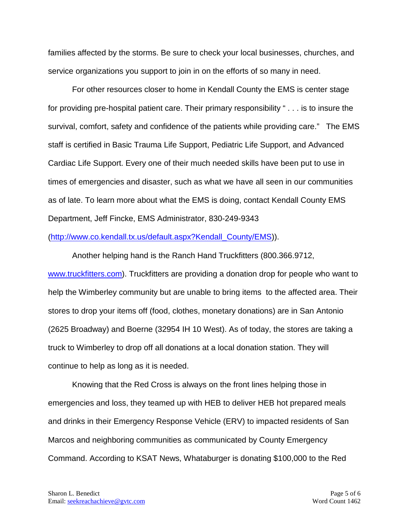families affected by the storms. Be sure to check your local businesses, churches, and service organizations you support to join in on the efforts of so many in need.

For other resources closer to home in Kendall County the EMS is center stage for providing pre-hospital patient care. Their primary responsibility " . . . is to insure the survival, comfort, safety and confidence of the patients while providing care." The EMS staff is certified in Basic Trauma Life Support, Pediatric Life Support, and Advanced Cardiac Life Support. Every one of their much needed skills have been put to use in times of emergencies and disaster, such as what we have all seen in our communities as of late. To learn more about what the EMS is doing, contact Kendall County EMS Department, Jeff Fincke, EMS Administrator, 830-249-9343

## [\(http://www.co.kendall.tx.us/default.aspx?Kendall\\_County/EMS\)](http://www.co.kendall.tx.us/default.aspx?Kendall_County/EMS)).

Another helping hand is the Ranch Hand Truckfitters (800.366.9712, [www.truckfitters.com\)](http://www.truckfitters.com/). Truckfitters are providing a donation drop for people who want to help the Wimberley community but are unable to bring items to the affected area. Their stores to drop your items off (food, clothes, monetary donations) are in San Antonio (2625 Broadway) and Boerne (32954 IH 10 West). As of today, the stores are taking a truck to Wimberley to drop off all donations at a local donation station. They will continue to help as long as it is needed.

Knowing that the Red Cross is always on the front lines helping those in emergencies and loss, they teamed up with HEB to deliver HEB hot prepared meals and drinks in their Emergency Response Vehicle (ERV) to impacted residents of San Marcos and neighboring communities as communicated by County Emergency Command. According to KSAT News, Whataburger is donating \$100,000 to the Red